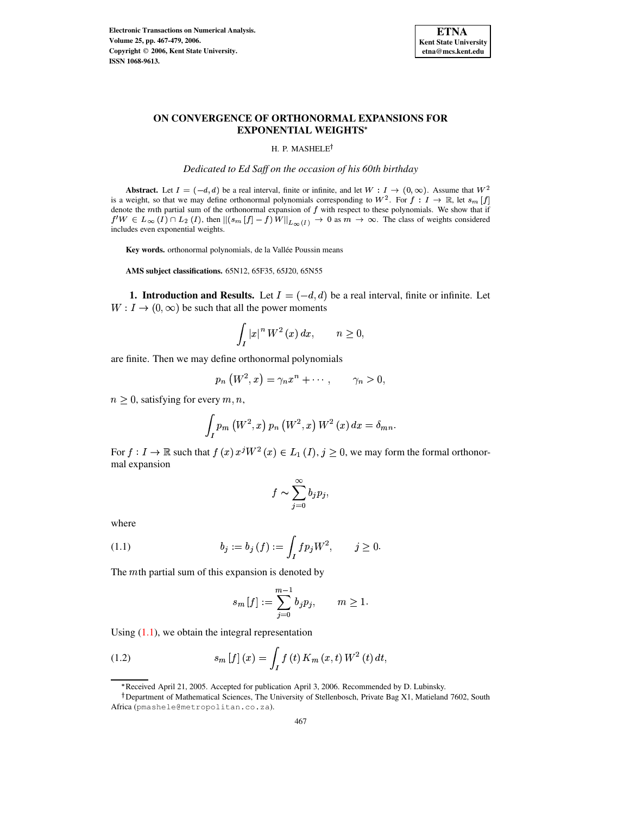

# **ON CONVERGENCE OF ORTHONORMAL EXPANSIONS FOR EXPONENTIAL WEIGHTS**

H. P. MASHELE<sup>†</sup>

*Dedicated to Ed Saff on the occasion of his 60th birthday*

**Abstract.** Let  $I = (-d, d)$  be a real interval, finite or infinite, and let  $W : I \to (0, \infty)$ . Assume that  $W^2$ is a weight, so that we may define orthonormal polynomials corresponding to  $W^2$ . For  $f: I \to \mathbb{R}$ , let  $s_m[f]$ denote the  $m$ th partial sum of the orthonormal expansion of  $f$  with respect to these polynomials. We show that if  $f'W \in L_\infty(I) \cap L_2(I)$ , then  $\|(s_m[f]-f)\,W\|_{L_\infty(I)} \to 0$  as  $m \to \infty$ . The class of weights considered includes even exponential weights.

Key words. orthonormal polynomials, de la Vallée Poussin means

**AMS subject classifications.** 65N12, 65F35, 65J20, 65N55

**1. Introduction and Results.** Let  $I = (-d, d)$  be a real interval, finite or infinite. Let  $W: I \to (0, \infty)$  be such that all the power moments

$$
\int_{I} |x|^{n} W^{2}(x) dx, \qquad n \ge 0,
$$

are finite. Then we may define orthonormal polynomials

$$
p_n\left(W^2,x\right)=\gamma_nx^n+\cdots, \qquad \gamma_n>0,
$$

 $n \geq 0$ , satisfying for every  $m, n$ ,

$$
\int_{I} p_{m} \left(W^{2}, x\right) p_{n} \left(W^{2}, x\right) W^{2} \left(x\right) dx = \delta_{mn}.
$$

For  $f: I \to \mathbb{R}$  such that  $f(x)$   $x^j W^2(x) \in L_1(I), j \ge 0$ , we may form the formal orthonormal expansion

$$
f \sim \sum_{j=0}^{\infty} b_j p_j,
$$

<span id="page-0-0"></span>where

(1.1) 
$$
b_j := b_j(f) := \int_I f p_j W^2, \qquad j \ge 0.
$$

The  $m$ th partial sum of this expansion is denoted by

$$
s_m[f] := \sum_{j=0}^{m-1} b_j p_j, \qquad m \ge 1.
$$

Using  $(1.1)$ , we obtain the integral representation

(1.2) 
$$
s_m[f](x) = \int_I f(t) K_m(x, t) W^2(t) dt,
$$

<sup>\*</sup> Received April 21, 2005. Accepted for publication April 3, 2006. Recommended by D. Lubinsky.

<sup>&</sup>lt;sup>†</sup>Department of Mathematical Sciences, The University of Stellenbosch, Private Bag X1, Matieland 7602, South Africa (pmashele@metropolitan.co.za).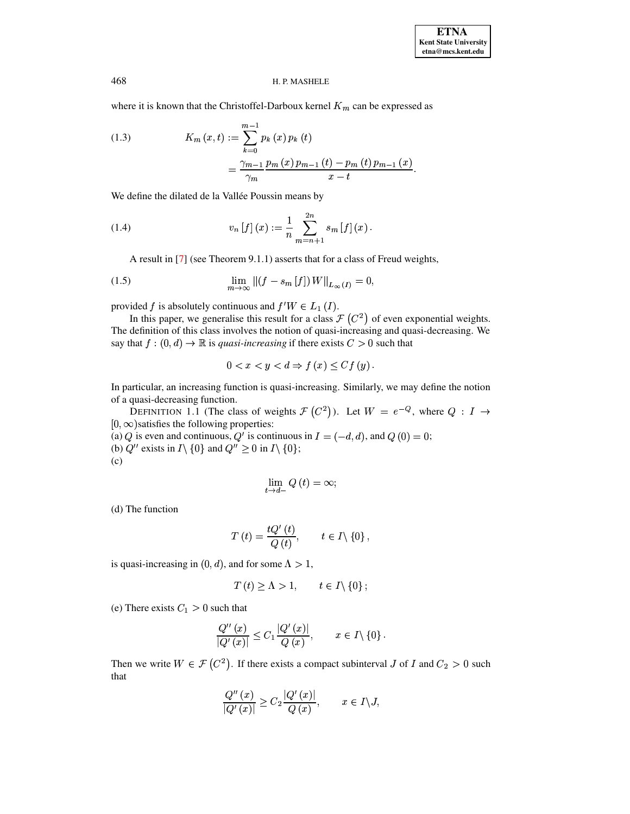where it is known that the Christoffel-Darboux kernel  $K_m$  can be expressed as

(1.3) 
$$
K_m(x,t) := \sum_{k=0}^{m-1} p_k(x) p_k(t)
$$

$$
= \frac{\gamma_{m-1}}{\gamma_m} \frac{p_m(x) p_{m-1}(t) - p_m(t) p_{m-1}(x)}{x - t}.
$$

We define the dilated de la Vallée Poussin means by

(1.4) 
$$
v_n[f](x) := \frac{1}{n} \sum_{m=n+1}^{2n} s_m[f](x).
$$

A result in [\[7\]](#page-12-0) (see Theorem 9.1.1) asserts that for a class of Freud weights,

(1.5) 
$$
\lim_{m \to \infty} ||(f - s_m[f]) W||_{L_{\infty}(I)} = 0,
$$

provided f is absolutely continuous and  $f'W \in L_1(I)$ .

In this paper, we generalise this result for a class  $\mathcal{F}(C^2)$  of even exponential weights. The definition of this class involves the notion of quasi-increasing and quasi-decreasing. We say that  $f : (0, d) \to \mathbb{R}$  is *quasi-increasing* if there exists  $C > 0$  such that

$$
0 < x < y < d \Rightarrow f(x) \leq C f(y) \, .
$$

In particular, an increasing function is quasi-increasing. Similarly, we may define the notion of a quasi-decreasing function.

DEFINITION 1.1 (The class of weights  $\mathcal{F}(C^2)$ ). Let  $W = e^{-Q}$ , where  $Q : I \to I$  $[0, \infty)$  satisfies the following properties:

(a)  $Q$  is even and continuous,  $Q^T$  is continuous in  $I = (-d, d)$ , and  $Q(0) = 0$ ;

(b)  $Q''$  exists in  $I \setminus \{0\}$  and  $Q'' \ge 0$  in  $I \setminus \{0\}$ ;

(c)

$$
\lim_{t \to d-} Q(t) = \infty;
$$

(d) The function

$$
T(t) = \frac{tQ'(t)}{Q(t)}, \qquad t \in I \setminus \{0\},\
$$

is quasi-increasing in  $(0, d)$ , and for some  $\Lambda > 1$ ,

$$
T(t) \ge \Lambda > 1, \qquad t \in I \setminus \{0\} \, ;
$$

(e) There exists  $C_1 > 0$  such that

$$
\frac{Q''(x)}{|Q'(x)|} \leq C_1 \frac{|Q'(x)|}{Q(x)}, \qquad x \in I \setminus \{0\}.
$$

Then we write  $W \in \mathcal{F}(C^2)$ . If there exists a compact subinterval J of I and  $C_2 > 0$  such that

$$
\frac{Q''(x)}{|Q'(x)|} \ge C_2 \frac{|Q'(x)|}{Q(x)}, \qquad x \in I \setminus J,
$$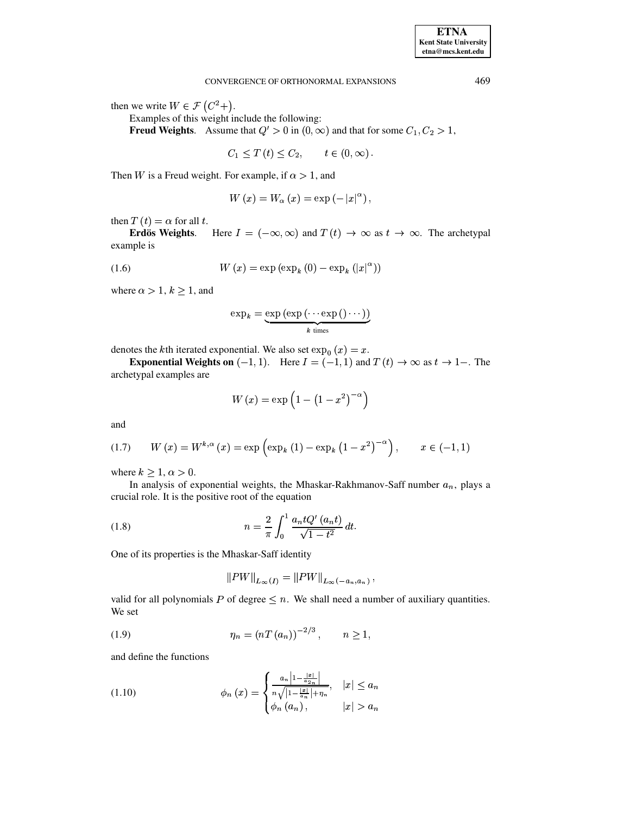#### CONVERGENCE OF ORTHONORMAL EXPANSIONS

then we write  $W \in \mathcal{F}(C^2+)$ .

Examples of this weight include the following:

**Freud Weights.** Assume that  $Q' > 0$  in  $(0, \infty)$  and that for some  $C_1, C_2 > 1$ ,

 $C_1 \le T(t) \le C_2, \qquad t \in (0, \infty).$ 

Then W is a Freud weight. For example, if  $\alpha > 1$ , and

$$
W(x) = W_{\alpha}(x) = \exp(-|x|^{\alpha}),
$$

then  $T(t) = \alpha$  for all t.

<span id="page-2-0"></span>**Erdös Weights.** Here  $I = (-\infty, \infty)$  and  $T(t) \to \infty$  as  $t \to \infty$ . The archetypal example is

$$
(1.6) \t W(x) = \exp\left(\exp_k(0) - \exp_k(|x|^\alpha)\right)
$$

where  $\alpha > 1, k \ge 1$ , and

$$
\exp_k = \underbrace{\exp\left(\exp\left(\cdots \exp\left(\right)\cdots\right)\right)}_{k \text{ times}}
$$

denotes the k<sup>th</sup> iterated exponential. We also set  $\exp_0(x) = x$ .

**Exponential Weights on**  $(-1, 1)$ . Here  $I = (-1, 1)$  and  $T(t) \rightarrow \infty$  as  $t \rightarrow 1$ . The archetypal examples are

$$
W\left( x\right) =\exp \left( 1-\left( 1-x^{2}\right) ^{-\alpha }\right)
$$

<span id="page-2-1"></span>and

(1.7) 
$$
W(x) = W^{k,\alpha}(x) = \exp\left(\exp_k(1) - \exp_k(1 - x^2)^{-\alpha}\right), \quad x \in (-1,1)
$$

where  $k \geq 1, \alpha > 0$ .

In analysis of exponential weights, the Mhaskar-Rakhmanov-Saff number  $a_n$ , plays a crucial role. It is the positive root of the equation

(1.8) 
$$
n = \frac{2}{\pi} \int_0^1 \frac{a_n t Q'(a_n t)}{\sqrt{1 - t^2}} dt.
$$

One of its properties is the Mhaskar-Saff identity

$$
||PW||_{L_{\infty}(I)} = ||PW||_{L_{\infty}(-a_n, a_n)},
$$

valid for all polynomials P of degree  $\leq n$ . We shall need a number of auxiliary quantities. We set

(1.9) 
$$
\eta_n = (nT (a_n))^{-2/3}, \quad n \ge 1,
$$

and define the functions

(1.10) 
$$
\phi_n(x) = \begin{cases} \frac{a_n \left| 1 - \frac{|x|}{a_{2n}} \right|}{n \sqrt{|1 - \frac{|x|}{a_n}| + \eta_n}}, & |x| \le a_n \\ \phi_n(a_n), & |x| > a_n \end{cases}
$$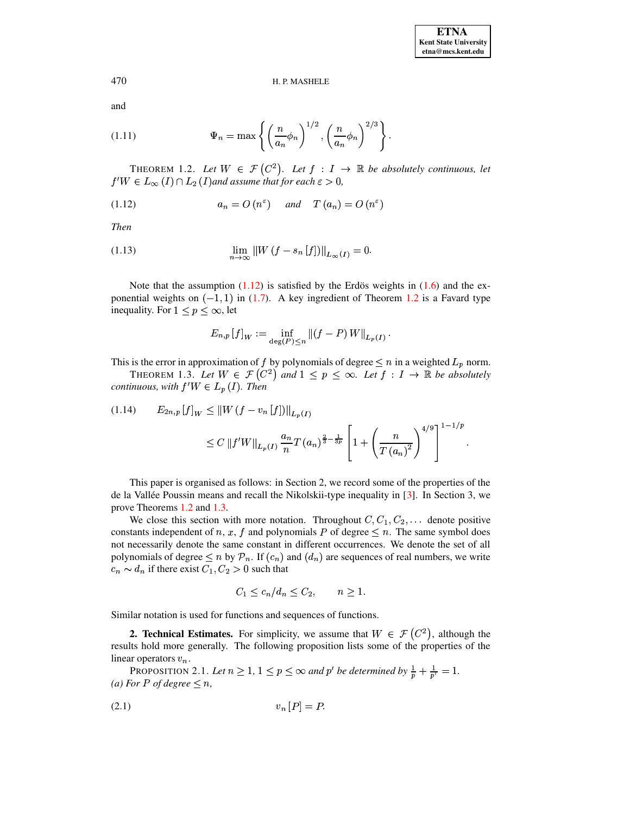and

(1.11) 
$$
\Psi_n = \max \left\{ \left( \frac{n}{a_n} \phi_n \right)^{1/2}, \left( \frac{n}{a_n} \phi_n \right)^{2/3} \right\}
$$

<span id="page-3-1"></span><span id="page-3-0"></span>THEOREM 1.2. Let  $W \in \mathcal{F}(C^2)$ . Let  $f : I \to \mathbb{R}$  be absolutely continuous, let  $f'W \in L_{\infty}(I) \cap L_2(I)$  and assume that for each  $\varepsilon > 0$ ,

(1.12) 
$$
a_n = O\left(n^{\varepsilon}\right) \quad \text{and} \quad T\left(a_n\right) = O\left(n^{\varepsilon}\right)
$$

**Then** 

(1.13) 
$$
\lim_{n \to \infty} ||W(f - s_n[f])||_{L_{\infty}(I)} = 0.
$$

Note that the assumption  $(1.12)$  is satisfied by the Erdös weights in  $(1.6)$  and the exponential weights on  $(-1, 1)$  in  $(1.7)$ . A key ingredient of Theorem 1.2 is a Favard type inequality. For  $1 \le p \le \infty$ , let

$$
E_{n,p}[f]_W := \inf_{\deg(P) \le n} \|(f - P)W\|_{L_p(I)}.
$$

<span id="page-3-2"></span>This is the error in approximation of f by polynomials of degree  $\leq n$  in a weighted  $L_p$  norm.

THEOREM 1.3. Let  $W \in \mathcal{F}(C^2)$  and  $1 \leq p \leq \infty$ . Let  $f : I \to \mathbb{R}$  be absolutely *continuous, with*  $f'W \in L_p(I)$ *. Then* 

$$
(1.14) \t E_{2n,p}[f]_W \le ||W(f - v_n[f])||_{L_p(I)}\n\le C ||f'W||_{L_p(I)} \frac{a_n}{n} T (a_n)^{\frac{2}{3} - \frac{1}{3p}} \left[1 + \left(\frac{n}{T (a_n)^2}\right)^{4/9}\right]^{1-1/p}.
$$

This paper is organised as follows: in Section 2, we record some of the properties of the de la Vallée Poussin means and recall the Nikolskii-type inequality in [3]. In Section 3, we prove Theorems 1.2 and 1.3.

We close this section with more notation. Throughout  $C, C_1, C_2, \ldots$  denote positive constants independent of n, x, f and polynomials P of degree  $\leq n$ . The same symbol does not necessarily denote the same constant in different occurrences. We denote the set of all polynomials of degree  $\leq n$  by  $\mathcal{P}_n$ . If  $(c_n)$  and  $(d_n)$  are sequences of real numbers, we write  $c_n \sim d_n$  if there exist  $C_1, C_2 > 0$  such that

$$
C_1 \le c_n/d_n \le C_2, \qquad n \ge 1.
$$

Similar notation is used for functions and sequences of functions.

**2. Technical Estimates.** For simplicity, we assume that  $W \in \mathcal{F}(C^2)$ , although the results hold more generally. The following proposition lists some of the properties of the linear operators  $v_n$ .

PROPOSITION 2.1. Let  $n \ge 1$ ,  $1 \le p \le \infty$  and p' be determined by  $\frac{1}{p} + \frac{1}{p'} = 1$ . (a) For P of degree  $\leq n$ ,

$$
(2.1)\t\t\t v_n[P] = P
$$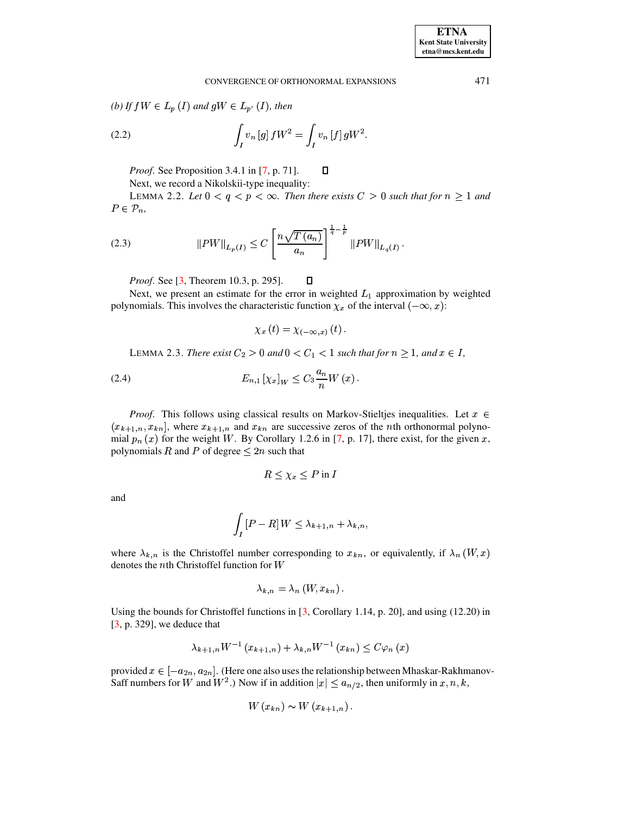(b) If  $fW \in L_p(I)$  and  $gW \in L_{p'}(I)$ , then

(2.2) 
$$
\int_{I} v_{n} [g] f W^{2} = \int_{I} v_{n} [f] g W^{2}
$$

*Proof.* See Proposition 3.4.1 in [7, p. 71].

Next, we record a Nikolskii-type inequality:

<span id="page-4-0"></span>LEMMA 2.2. Let  $0 < q < p < \infty$ . Then there exists  $C > 0$  such that for  $n \ge 1$  and  $P\in \mathcal{P}_n,$ 

П

(2.3) 
$$
||PW||_{L_p(I)} \leq C \left[ \frac{n\sqrt{T(a_n)}}{a_n} \right]^{\frac{1}{q} - \frac{1}{p}} ||PW||_{L_q(I)}.
$$

*Proof.* See [3, Theorem 10.3, p. 295].  $\Box$ 

Next, we present an estimate for the error in weighted  $L_1$  approximation by weighted polynomials. This involves the characteristic function  $\chi_x$  of the interval  $(-\infty, x)$ :

$$
\chi_{x}\left( t\right) =\chi_{\left( -\infty,x\right) }\left( t\right) .
$$

LEMMA 2.3. There exist  $C_2 > 0$  and  $0 < C_1 < 1$  such that for  $n \ge 1$ , and  $x \in I$ ,

(2.4) 
$$
E_{n,1} [\chi_x]_W \leq C_3 \frac{a_n}{n} W(x) .
$$

*Proof.* This follows using classical results on Markov-Stieltjes inequalities. Let  $x \in$  $(x_{k+1,n}, x_{kn})$ , where  $x_{k+1,n}$  and  $x_{kn}$  are successive zeros of the *n*th orthonormal polynomial  $p_n(x)$  for the weight W. By Corollary 1.2.6 in [7, p. 17], there exist, for the given x, polynomials R and P of degree  $\leq 2n$  such that

$$
R \leq \chi_x \leq P \text{ in } I
$$

and

$$
\int_I [P - R] W \leq \lambda_{k+1,n} + \lambda_{k,n},
$$

where  $\lambda_{k,n}$  is the Christoffel number corresponding to  $x_{kn}$ , or equivalently, if  $\lambda_n(W, x)$ denotes the  $n$ th Christoffel function for  $W$ 

$$
\lambda_{k,n} = \lambda_n(W, x_{kn}).
$$

Using the bounds for Christoffel functions in  $[3,$  Corollary 1.14, p. 20], and using  $(12.20)$  in  $[3, p. 329]$ , we deduce that

$$
\lambda_{k+1,n}W^{-1}(x_{k+1,n}) + \lambda_{k,n}W^{-1}(x_{kn}) \leq C\varphi_n(x)
$$

provided  $x \in [-a_{2n}, a_{2n}]$ . (Here one also uses the relationship between Mhaskar-Rakhmanov-Saff numbers for W and  $W^2$ .) Now if in addition  $|x| \le a_{n/2}$ , then uniformly in  $x, n, k$ ,

$$
W(x_{kn}) \sim W(x_{k+1,n}).
$$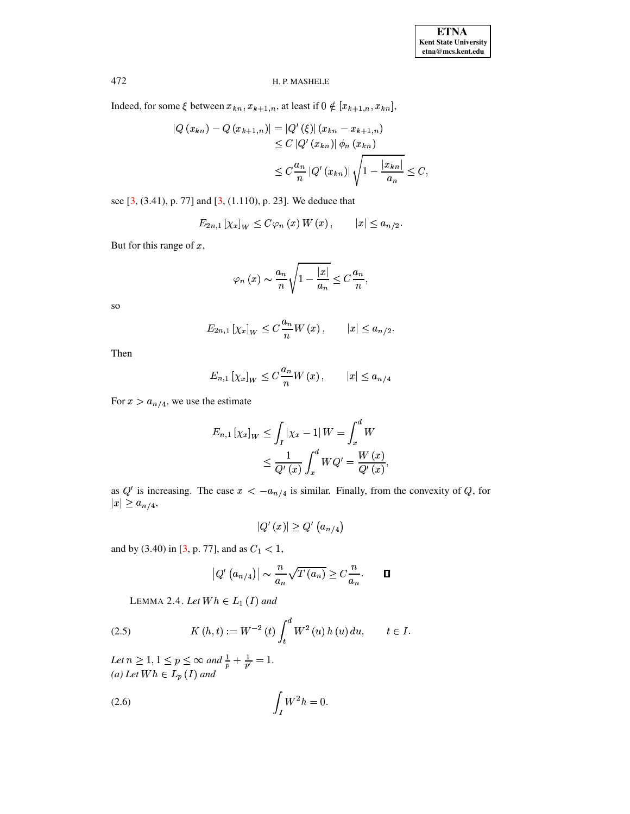Indeed, for some  $\xi$  between  $x_{kn}, x_{k+1,n}$ , at least if  $0 \notin [x_{k+1,n}, x_{kn}]$ ,

$$
|Q (x_{kn}) - Q (x_{k+1,n})| = |Q' (\xi)| (x_{kn} - x_{k+1,n})
$$
  
\n
$$
\leq C |Q' (x_{kn})| \phi_n (x_{kn})
$$
  
\n
$$
\leq C \frac{a_n}{n} |Q' (x_{kn})| \sqrt{1 - \frac{|x_{kn}|}{a_n}} \leq C,
$$

see [3, (3.41), p. 77] and [3, (1.110), p. 23]. We deduce that

$$
E_{2n,1} [\chi_x]_W \leq C \varphi_n(x) W(x), \qquad |x| \leq a_{n/2}.
$$

But for this range of  $x$ ,

$$
\varphi_n(x) \sim \frac{a_n}{n} \sqrt{1 - \frac{|x|}{a_n}} \leq C \frac{a_n}{n},
$$

 $SO$ 

$$
E_{2n,1} [\chi_x]_W \leq C \frac{a_n}{n} W(x), \qquad |x| \leq a_{n/2}
$$

Then

$$
E_{n,1} [\chi_x]_W \leq C \frac{a_n}{n} W(x), \qquad |x| \leq a_{n/4}
$$

For  $x > a_{n/4}$ , we use the estimate

$$
E_{n,1} \left[ \chi_x \right]_W \le \int_I |\chi_x - 1| \, W = \int_x^d W
$$
  

$$
\le \frac{1}{Q'(x)} \int_x^d W Q' = \frac{W(x)}{Q'(x)},
$$

as Q' is increasing. The case  $x < -a_{n/4}$  is similar. Finally, from the convexity of Q, for  $|x| \geq a_{n/4},$ 

$$
\left|Q'\left(x\right)\right|\geq Q'\left(a_{n/4}\right)
$$

and by (3.40) in [3, p. 77], and as  $C_1 < 1$ ,

$$
|Q'\left(a_{n/4}\right)| \sim \frac{n}{a_n} \sqrt{T\left(a_n\right)} \ge C \frac{n}{a_n}.\qquad \Box
$$

LEMMA 2.4. Let  $Wh \in L_1(I)$  and

(2.5) 
$$
K(h,t) := W^{-2}(t) \int_{t}^{d} W^{2}(u) h(u) du, \qquad t \in I
$$

<span id="page-5-0"></span>Let  $n \geq 1, 1 \leq p \leq \infty$  and  $\frac{1}{p} + \frac{1}{p'} = 1$ .<br>(a) Let  $Wh \in L_p(I)$  and

$$
\int_I W^2 h = 0.
$$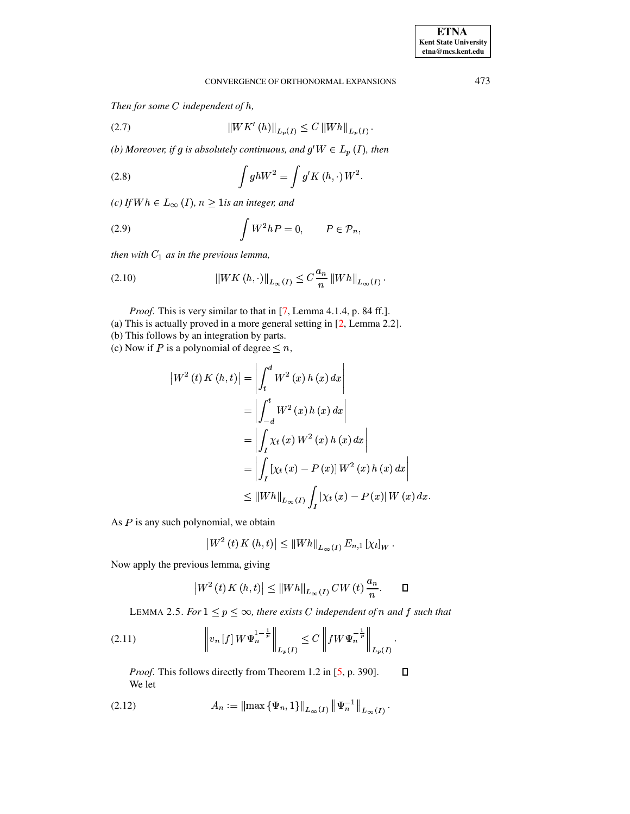<span id="page-6-3"></span>*Then for some C independent of h,* 

(2.7) 
$$
||WK'(h)||_{L_p(I)} \le C ||Wh||_{L_p(I)}.
$$
  
(b) Moreover, if g is absolutely continuous, and  $g'W \in L_p(I)$ , then

(2.8) 
$$
\int gh W^2 = \int g' K(h, \cdot) W^2.
$$

<span id="page-6-1"></span> $I(c)$  *If*  $Wh \in L_\infty$  (*I*),  $n \geq 1$ *is an integer, and* 

(2.9) 
$$
\int W^2 h P = 0, \qquad P \in \mathcal{P}_n,
$$

*then* with  $C_1$  as in the previous lemma,

(2.10) 
$$
\|WK(h,\cdot)\|_{L_{\infty}(I)} \leq C \frac{a_n}{n} \|Wh\|_{L_{\infty}(I)}.
$$

*Proof.* This is very similar to that in [\[7,](#page-12-0) Lemma 4.1.4, p. 84 ff.].

(a) This is actually proved in a more general setting in [\[2,](#page-11-1) Lemma 2.2].

(b) This follows by an integration by parts.

(c) Now if P is a polynomial of degree  $\leq n$ ,

$$
\begin{aligned} \left| W^{2} \left( t \right) K \left( h, t \right) \right| &= \left| \int_{t}^{d} W^{2} \left( x \right) h \left( x \right) dx \right| \\ &= \left| \int_{-d}^{t} W^{2} \left( x \right) h \left( x \right) dx \right| \\ &= \left| \int_{I} \chi_{t} \left( x \right) W^{2} \left( x \right) h \left( x \right) dx \right| \\ &= \left| \int_{I} \left[ \chi_{t} \left( x \right) - P \left( x \right) \right] W^{2} \left( x \right) h \left( x \right) dx \right| \\ &\leq \left| \left| W h \right|_{L_{\infty}(I)} \int_{I} \left| \chi_{t} \left( x \right) - P \left( x \right) \right| W \left( x \right) dx. \end{aligned}
$$

K.

As  $P$  is any such polynomial, we obtain

$$
\left|W^{2}(t) K(h,t)\right| \leq \left\|Wh\right\|_{L_{\infty}(I)} E_{n,1} \left[\chi_{t}\right]_{W}.
$$

Now apply the previous lemma, giving

$$
\left|W^{2}(t) K(h,t)\right| \leq \left\|Wh\right\|_{L_{\infty}(I)} CW(t) \frac{a_{n}}{n}.\quad \Box
$$
  
LEMMA 2.5. For  $1 \leq p \leq \infty$ , there exists C independent of n and f such that

<span id="page-6-0"></span>
$$
(2.11) \t\t\t\t\t\|v_n[f] W \Psi_n^{1-\frac{1}{p}}\|_{L_p(I)} \leq C \left\|f W \Psi_n^{-\frac{1}{p}}\right\|_{L_p(I)}.
$$

 *Proof*. This follows directly from Theorem 1.2 in [\[5,](#page-12-1) p. 390].  $\Box$ We let

<span id="page-6-4"></span>(2.12) 
$$
A_n := \left\| \max \{ \Psi_n, 1 \} \right\|_{L_\infty(I)} \left\| \Psi_n^{-1} \right\|_{L_\infty(I)}.
$$

<span id="page-6-2"></span>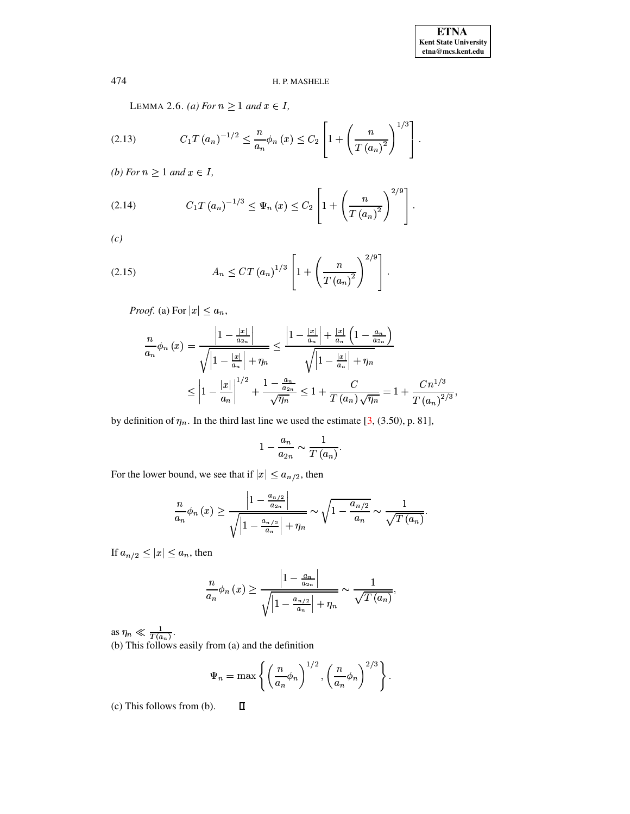LEMMA 2.6. (a) For  $n \ge 1$  and  $x \in I$ ,

<span id="page-7-0"></span>(2.13) 
$$
C_1 T (a_n)^{-1/2} \leq \frac{n}{a_n} \phi_n (x) \leq C_2 \left[ 1 + \left( \frac{n}{T (a_n)^2} \right)^{1/3} \right]
$$

(*b*) For  $n \geq 1$  and  $x \in I$ ,

(2.14) 
$$
C_1 T (a_n)^{-1/3} \leq \Psi_n (x) \leq C_2 \left[ 1 + \left( \frac{n}{T (a_n)^2} \right)^{2/9} \right]
$$

<span id="page-7-1"></span> $(c)$ 

(2.15) 
$$
A_n \leq CT (a_n)^{1/3} \left[ 1 + \left( \frac{n}{T (a_n)^2} \right)^{2/9} \right].
$$

*Proof.* (a) For  $|x| \le a_n$ ,

$$
\frac{n}{a_n}\phi_n(x) = \frac{\left|1 - \frac{|x|}{a_{2n}}\right|}{\sqrt{\left|1 - \frac{|x|}{a_n}\right|} + \eta_n} \le \frac{\left|1 - \frac{|x|}{a_n}\right| + \frac{|x|}{a_n}\left(1 - \frac{a_n}{a_{2n}}\right)}{\sqrt{\left|1 - \frac{|x|}{a_n}\right|} + \eta_n}
$$
\n
$$
\le \left|1 - \frac{|x|}{a_n}\right|^{1/2} + \frac{1 - \frac{a_n}{a_{2n}}}{\sqrt{\eta_n}} \le 1 + \frac{C}{T(a_n)\sqrt{\eta_n}} = 1 + \frac{Cn^{1/3}}{T(a_n)^{2/3}},
$$

by definition of  $\eta_n$ . In the third last line we used the estimate [3, (3.50), p. 81],

$$
1-\frac{a_n}{a_{2n}}\sim \frac{1}{T(a_n)}.
$$

For the lower bound, we see that if  $|x| \le a_{n/2}$ , then

$$
\frac{n}{a_n}\phi_n(x) \ge \frac{\left|1 - \frac{a_{n/2}}{a_{2n}}\right|}{\sqrt{\left|1 - \frac{a_{n/2}}{a_n}\right| + \eta_n}} \sim \sqrt{1 - \frac{a_{n/2}}{a_n}} \sim \frac{1}{\sqrt{T(a_n)}}
$$

If  $a_{n/2} \leq |x| \leq a_n$ , then

$$
\frac{n}{a_n}\phi_n(x) \ge \frac{\left|1 - \frac{a_n}{a_{2n}}\right|}{\sqrt{\left|1 - \frac{a_{n/2}}{a_n}\right| + \eta_n}} \sim \frac{1}{\sqrt{T(a_n)}},
$$

as  $\eta_n \ll \frac{1}{T(a_n)}$ .<br>(b) This follows easily from (a) and the definition

$$
\Psi_n = \max \left\{ \left( \frac{n}{a_n} \phi_n \right)^{1/2}, \left( \frac{n}{a_n} \phi_n \right)^{2/3} \right\}.
$$

(c) This follows from (b).  $\Box$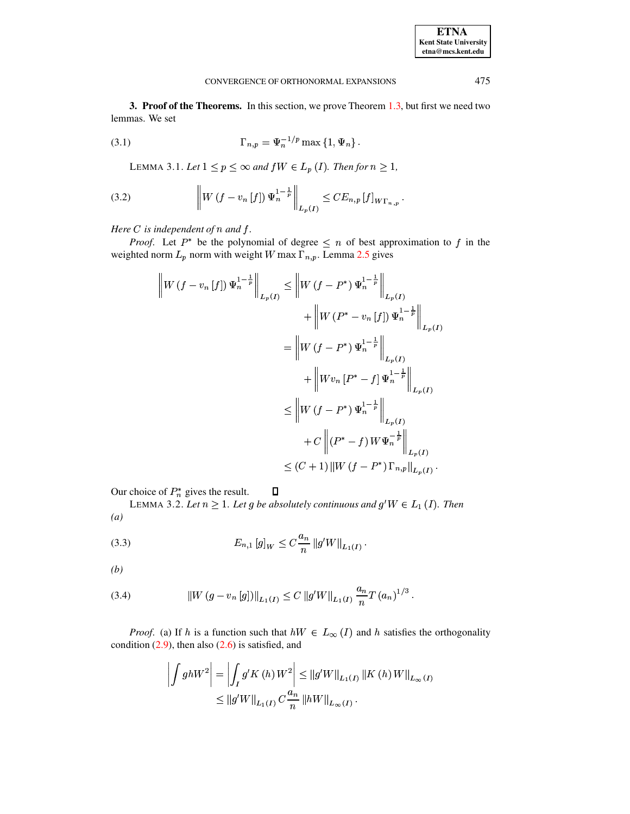3. Proof of the Theorems. In this section, we prove Theorem 1.3, but first we need two lemmas. We set

<span id="page-8-0"></span>
$$
\Gamma_{n,p} = \Psi_n^{-1/p} \max\left\{1, \Psi_n\right\}.
$$

LEMMA 3.1. Let  $1 \le p \le \infty$  and  $fW \in L_p(I)$ . Then for  $n \ge 1$ ,

(3.2) 
$$
\left\| W \left( f - v_n \left[ f \right] \right) \Psi_n^{1 - \frac{1}{p}} \right\|_{L_p(I)} \leq C E_{n,p} \left[ f \right]_{W\Gamma_{n,p}}.
$$

Here  $C$  is independent of  $n$  and  $f$ .

*Proof.* Let  $P^*$  be the polynomial of degree  $\leq n$  of best approximation to f in the weighted norm  $L_p$  norm with weight W max  $\overline{\Gamma}_{n,p}$ . Lemma 2.5 gives

$$
\|W(f - v_n[f]) \Psi_n^{\frac{1-\frac{1}{p}}{\frac{1}{p}}}\|_{L_p(I)} \leq \|W(f - P^*) \Psi_n^{\frac{1-\frac{1}{p}}{\frac{1}{p}}}\|_{L_p(I)} \n+ \|W(P^* - v_n[f]) \Psi_n^{\frac{1-\frac{1}{p}}{\frac{1}{p}}}\|_{L_p(I)} \n+ \|Wv_n [P^* - f] \Psi_n^{\frac{1-\frac{1}{p}}{\frac{1}{p}}}\|_{L_p(I)} \n\leq \|W(f - P^*) \Psi_n^{\frac{1-\frac{1}{p}}{\frac{1}{p}}}\|_{L_p(I)} \n+ C \|(P^* - f) W \Psi_n^{-\frac{1}{p}}\|_{L_p(I)} \n\leq (C+1) \|W(f - P^*) \Gamma_{n,p}\|_{L_p(I)}.
$$

<span id="page-8-1"></span>Our choice of  $P_n^*$  gives the result.  $\Box$ 

LEMMA 3.2. Let  $n \geq 1$ . Let g be absolutely continuous and  $g^t W \in L_1(I)$ . Then  $\left(a\right)$ 

(3.3) 
$$
E_{n,1} [g]_W \leq C \frac{a_n}{n} ||g'W||_{L_1(I)}.
$$

 $(b)$ 

(3.4) 
$$
\|W(g - v_n[g])\|_{L_1(I)} \leq C \|g'W\|_{L_1(I)} \frac{a_n}{n} T (a_n)^{1/3}.
$$

*Proof.* (a) If h is a function such that  $hW \in L_{\infty}(I)$  and h satisfies the orthogonality condition  $(2.9)$ , then also  $(2.6)$  is satisfied, and

$$
\left| \int g h W^{2} \right| = \left| \int_{I} g' K(h) W^{2} \right| \leq \|g' W\|_{L_{1}(I)} \|K(h) W\|_{L_{\infty}(I)}
$$
  

$$
\leq \|g' W\|_{L_{1}(I)} C \frac{a_{n}}{n} \|h W\|_{L_{\infty}(I)}.
$$

475

**ETNA Kent State University**  $etna@mcs. kent.edu$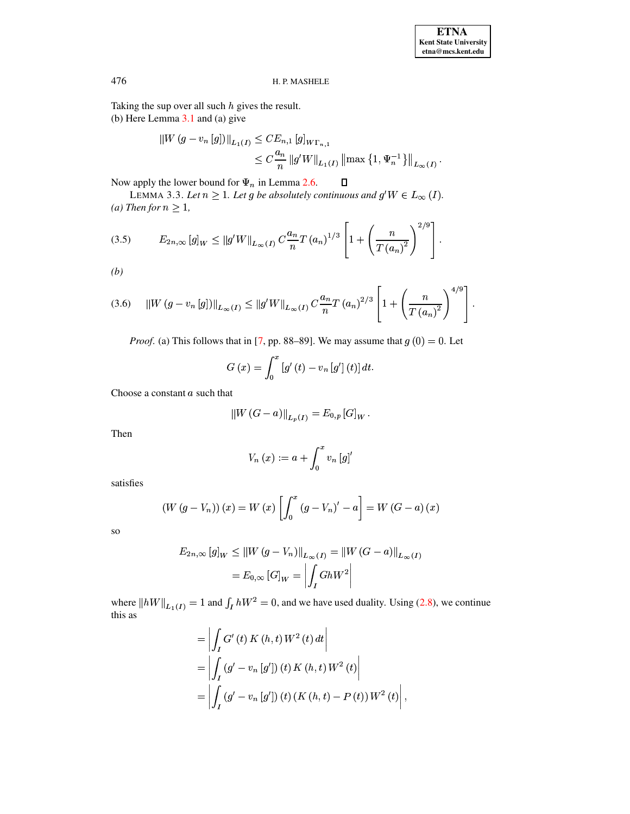Taking the sup over all such  $h$  gives the result. (b) Here Lemma  $3.1$  and (a) give

$$
\begin{aligned} ||W (g - v_n [g])||_{L_1(I)} &\leq C E_{n,1} [g]_{W\Gamma_{n,1}} \\ &\leq C \frac{a_n}{n} ||g'W||_{L_1(I)} \left\| \max \left\{ 1, \Psi_n^{-1} \right\} \right\|_{L_\infty(I)} .\end{aligned}
$$

 $\Box$ 

Now apply the lower bound for  $\Psi_n$  in Lemma 2.6.

LEMMA 3.3. Let  $n \geq 1$ . Let g be absolutely continuous and  $g^t W \in L_\infty(I)$ . (a) Then for  $n \geq 1$ ,

$$
(3.5) \t E_{2n,\infty} [g]_W \le ||g'W||_{L_{\infty}(I)} C \frac{a_n}{n} T (a_n)^{1/3} \left[ 1 + \left( \frac{n}{T (a_n)^2} \right)^{2/9} \right].
$$

 $(b)$ 

$$
(3.6) \quad ||W(g - v_n[g])||_{L_{\infty}(I)} \le ||g'W||_{L_{\infty}(I)} C \frac{a_n}{n} T (a_n)^{2/3} \left[ 1 + \left( \frac{n}{T (a_n)^2} \right)^{4/9} \right].
$$

*Proof.* (a) This follows that in [7, pp. 88–89]. We may assume that  $g(0) = 0$ . Let

$$
G(x) = \int_0^x [g'(t) - v_n[g'](t)] dt.
$$

Choose a constant a such that

$$
||W(G-a)||_{L_p(I)} = E_{0,p} [G]_W.
$$

Then

$$
V_n(x) := a + \int_0^x v_n[g]'
$$

satisfies

$$
(W (g - V_n)) (x) = W (x) \left[ \int_0^x (g - V_n)' - a \right] = W (G - a) (x)
$$

 $SO$ 

$$
E_{2n,\infty}[g]_W \le ||W(g - V_n)||_{L_\infty(I)} = ||W(G - a)||_{L_\infty(I)}
$$
  
=  $E_{0,\infty}[G]_W = \left| \int_I GhW^2 \right|$ 

where  $||hW||_{L_1(I)} = 1$  and  $\int_I hW^2 = 0$ , and we have used duality. Using (2.8), we continue this as

$$
= \left| \int_{I} G'(t) K(h, t) W^{2}(t) dt \right|
$$
  
=  $\left| \int_{I} (g' - v_{n} [g']) (t) K(h, t) W^{2}(t) \right|$   
=  $\left| \int_{I} (g' - v_{n} [g']) (t) (K(h, t) - P(t)) W^{2}(t) \right|$ 

 $\overline{\phantom{a}}$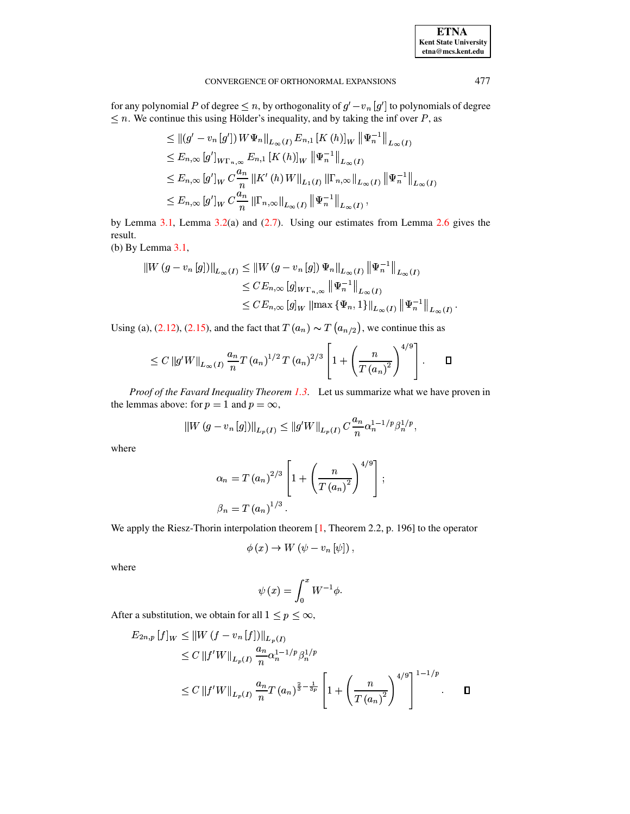#### CONVERGENCE OF ORTHONORMAL EXPANSIONS

for any polynomial P of degree  $\leq n$ , by orthogonality of  $g'-v_n[g']$  to polynomials of degree  $\leq n$ . We continue this using Hölder's inequality, and by taking the inf over P, as

$$
\leq ||(g' - v_n[g']) \, W\Psi_n||_{L_{\infty}(I)} E_{n,1} [K (h)]_W ||\Psi_n^{-1}||_{L_{\infty}(I)}
$$
\n
$$
\leq E_{n,\infty} [g']_{W\Gamma_{n,\infty}} E_{n,1} [K (h)]_W ||\Psi_n^{-1}||_{L_{\infty}(I)}
$$
\n
$$
\leq E_{n,\infty} [g']_W C \frac{a_n}{n} ||K' (h) W||_{L_1(I)} ||\Gamma_{n,\infty}||_{L_{\infty}(I)} ||\Psi_n^{-1}||_{L_{\infty}(I)}
$$
\n
$$
\leq E_{n,\infty} [g']_W C \frac{a_n}{n} ||\Gamma_{n,\infty}||_{L_{\infty}(I)} ||\Psi_n^{-1}||_{L_{\infty}(I)},
$$

by Lemma  $3.1$ , Lemma  $3.2(a)$  and  $(2.7)$ . Using our estimates from Lemma  $2.6$  gives the result.

(b) By Lemma 3.1,

$$
\|W(g - v_n[g])\|_{L_{\infty}(I)} \le \|W(g - v_n[g])\Psi_n\|_{L_{\infty}(I)} \|\Psi_n^{-1}\|_{L_{\infty}(I)}
$$
  

$$
\le CE_{n,\infty}[g]_{W\Gamma_{n,\infty}} \|\Psi_n^{-1}\|_{L_{\infty}(I)}
$$
  

$$
\le CE_{n,\infty}[g]_{W} \|\max{\{\Psi_n,1\}}\|_{L_{\infty}(I)} \|\Psi_n^{-1}\|_{L_{\infty}(I)}
$$

Using (a), (2.12), (2.15), and the fact that  $T(a_n) \sim T(a_{n/2})$ , we continue this as

$$
\leq C \|g'W\|_{L_{\infty}(I)} \frac{a_n}{n} T (a_n)^{1/2} T (a_n)^{2/3} \left[1 + \left(\frac{n}{T (a_n)^2}\right)^{4/9}\right]. \qquad \Box
$$

Proof of the Favard Inequality Theorem 1.3. Let us summarize what we have proven in the lemmas above: for  $p = 1$  and  $p = \infty$ ,

$$
||W(g - v_n[g])||_{L_p(I)} \le ||g'W||_{L_p(I)} C \frac{a_n}{n} \alpha_n^{1-1/p} \beta_n^{1/p},
$$

where

$$
\alpha_n = T (a_n)^{2/3} \left[ 1 + \left( \frac{n}{T (a_n)^2} \right)^{4/9} \right];
$$
  

$$
\beta_n = T (a_n)^{1/3}.
$$

We apply the Riesz-Thorin interpolation theorem  $[1,$  Theorem 2.2, p. 196] to the operator

$$
\phi(x) \to W(\psi - v_n[\psi])
$$

where

$$
\psi\left( x\right) =\int_{0}^{x}W^{-1}\phi.
$$

After a substitution, we obtain for all  $1 \le p \le \infty$ ,

$$
E_{2n,p}[f]_W \le ||W(f - v_n[f])||_{L_p(I)}
$$
  
\n
$$
\le C ||f'W||_{L_p(I)} \frac{a_n}{n} \alpha_n^{1-1/p} \beta_n^{1/p}
$$
  
\n
$$
\le C ||f'W||_{L_p(I)} \frac{a_n}{n} T (a_n)^{\frac{2}{3} - \frac{1}{3p}} \left[ 1 + \left( \frac{n}{T (a_n)^2} \right)^{4/9} \right]^{1-1/p} . \quad \Box
$$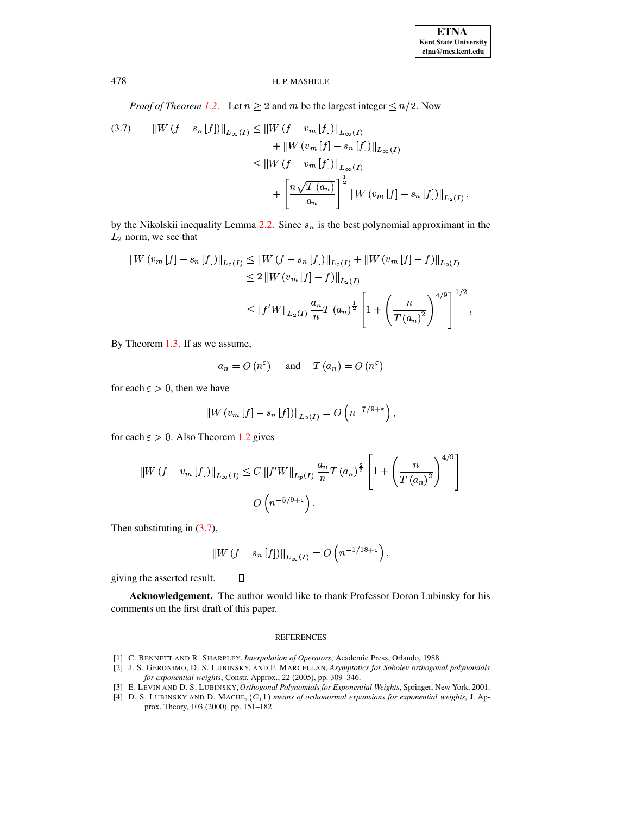*Proof of Theorem 1.2.* Let  $n \ge 2$  and m be the largest integer  $\le n/2$ . Now

<span id="page-11-3"></span>(3.7) 
$$
||W(f - s_n[f])||_{L_{\infty}(I)} \le ||W(f - v_m[f])||_{L_{\infty}(I)} + ||W(v_m[f] - s_n[f])||_{L_{\infty}(I)} \le ||W(f - v_m[f])||_{L_{\infty}(I)} + \left[\frac{n\sqrt{T(a_n)}}{a_n}\right]^{\frac{1}{2}} ||W(v_m[f] - s_n[f])||_{L_2(I)},
$$

by the Nikolskii inequality Lemma 2.2. Since  $s_n$  is the best polynomial approximant in the  $L_2$  norm, we see that

$$
\|W(v_m[f] - s_n[f])\|_{L_2(I)} \le \|W(f - s_n[f])\|_{L_2(I)} + \|W(v_m[f] - f)\|_{L_2(I)}
$$
  
\n
$$
\le 2 \|W(v_m[f] - f)\|_{L_2(I)}
$$
  
\n
$$
\le \|f'W\|_{L_2(I)} \frac{a_n}{n} T (a_n)^{\frac{1}{2}} \left[1 + \left(\frac{n}{T (a_n)^2}\right)^{4/9}\right]^{1/2},
$$

By Theorem  $1.3$ . If as we assume,

$$
a_n = O(n^{\epsilon})
$$
 and  $T(a_n) = O(n^{\epsilon})$ 

for each  $\varepsilon > 0$ , then we have

$$
||W(v_m[f]-s_n[f])||_{L_2(I)}=O(n^{-7/9+\varepsilon}),
$$

for each  $\varepsilon > 0$ . Also Theorem 1.2 gives

$$
||W(f - v_m[f])||_{L_{\infty}(I)} \le C ||f'W||_{L_p(I)} \frac{a_n}{n} T (a_n)^{\frac{2}{3}} \left[ 1 + \left( \frac{n}{T (a_n)^2} \right)^{4/9} \right]
$$
  
=  $O\left( n^{-5/9 + \varepsilon} \right).$ 

Then substituting in  $(3.7)$ ,

$$
||W(f - s_n[f])||_{L_{\infty}(I)} = O\left(n^{-1/18 + \varepsilon}\right),
$$

giving the asserted result.

Acknowledgement. The author would like to thank Professor Doron Lubinsky for his comments on the first draft of this paper.

#### **REFERENCES**

<span id="page-11-2"></span>[1] C. BENNETT AND R. SHARPLEY, Interpolation of Operators, Academic Press, Orlando, 1988.

 $\Box$ 

- <span id="page-11-1"></span>[2] J. S. GERONIMO, D. S. LUBINSKY, AND F. MARCELLAN, Asymptotics for Sobolev orthogonal polynomials for exponential weights, Constr. Approx., 22 (2005), pp. 309-346.
- <span id="page-11-0"></span>[3] E. LEVIN AND D. S. LUBINSKY, Orthogonal Polynomials for Exponential Weights, Springer, New York, 2001.
- [4] D. S. LUBINSKY AND D. MACHE,  $(C, 1)$  means of orthonormal expansions for exponential weights, J. Approx. Theory, 103 (2000), pp. 151-182.